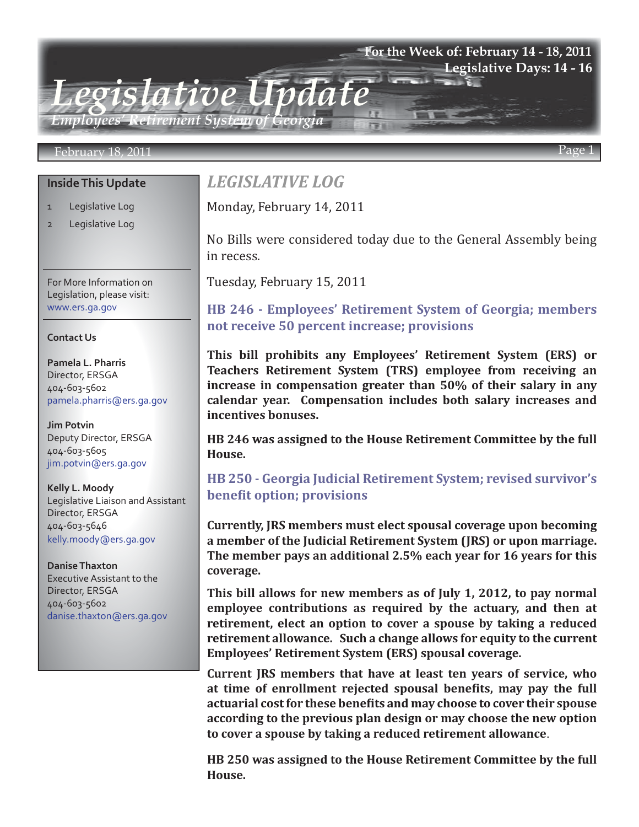## **For the Week of: February 14 - 18, 2011 Legislative Days: 14 - 16**

*Employees' Retirement System of Georgia*

*Legislative Update*

### February 18, 2011 Page 1

## **Inside This Update**

- 1 Legislative Log
- 2 Legislative Log

For More Information on Legislation, please visit: www.ers.ga.gov

### **Contact Us**

**Pamela L. Pharris** Director, ERSGA 404-603-5602 pamela.pharris@ers.ga.gov

**Jim Potvin** Deputy Director, ERSGA 404-603-5605 jim.potvin@ers.ga.gov

**Kelly L. Moody** Legislative Liaison and Assistant Director, ERSGA 404-603-5646 kelly.moody@ers.ga.gov

**Danise Thaxton** Executive Assistant to the Director, ERSGA 404-603-5602 danise.thaxton@ers.ga.gov

# *LEGISLATIVE LOG*

Monday, February 14, 2011

No Bills were considered today due to the General Assembly being in recess.

Tuesday, February 15, 2011

## **[HB 246 - Employees' Retirement System of Georgia; members](http://www.legis.ga.gov/Legislation/20112012/109854.pdf) not receive 50 percent increase; provisions**

**This bill prohibits any Employees' Retirement System (ERS) or Teachers Retirement System (TRS) employee from receiving an increase in compensation greater than 50% of their salary in any calendar year. Compensation includes both salary increases and incentives bonuses.** 

**HB 246 was assigned to the House Retirement Committee by the full House.**

## **[HB 250 - Georgia Judicial Retirement System; revised survivor's](http://www.legis.ga.gov/Legislation/20112012/109928.pdf) benefit option; provisions**

**Currently, JRS members must elect spousal coverage upon becoming a member of the Judicial Retirement System (JRS) or upon marriage. The member pays an additional 2.5% each year for 16 years for this coverage.** 

**This bill allows for new members as of July 1, 2012, to pay normal employee contributions as required by the actuary, and then at retirement, elect an option to cover a spouse by taking a reduced retirement allowance. Such a change allows for equity to the current Employees' Retirement System (ERS) spousal coverage.**

**Current JRS members that have at least ten years of service, who at time of enrollment rejected spousal benefits, may pay the full actuarial cost for these benefits and may choose to cover their spouse according to the previous plan design or may choose the new option to cover a spouse by taking a reduced retirement allowance**.

**HB 250 was assigned to the House Retirement Committee by the full House.**